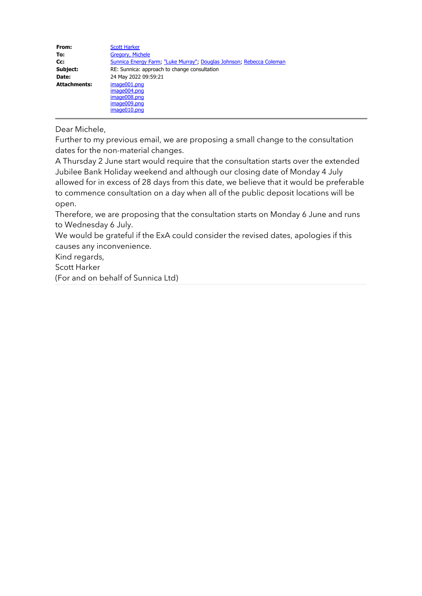| From:               | <b>Scott Harker</b>                                                  |  |
|---------------------|----------------------------------------------------------------------|--|
| To:                 | <b>Gregory, Michele</b>                                              |  |
| Cc:                 | Sunnica Energy Farm, "Luke Murray", Douglas Johnson, Rebecca Coleman |  |
| Subject:            | RE: Sunnica: approach to change consultation                         |  |
| Date:               | 24 May 2022 09:59:21                                                 |  |
| <b>Attachments:</b> | image001.png                                                         |  |
|                     | image004.png                                                         |  |
|                     | image008.png                                                         |  |
|                     | image009.png                                                         |  |
|                     | image010.png                                                         |  |

# Dear Michele,

Further to my previous email, we are proposing a small change to the consultation dates for the non-material changes.

A Thursday 2 June start would require that the consultation starts over the extended Jubilee Bank Holiday weekend and although our closing date of Monday 4 July allowed for in excess of 28 days from this date, we believe that it would be preferable to commence consultation on a day when all of the public deposit locations will be open.

Therefore, we are proposing that the consultation starts on Monday 6 June and runs to Wednesday 6 July.

We would be grateful if the ExA could consider the revised dates, apologies if this causes any inconvenience.

Kind regards,

Scott Harker

(For and on behalf of Sunnica Ltd)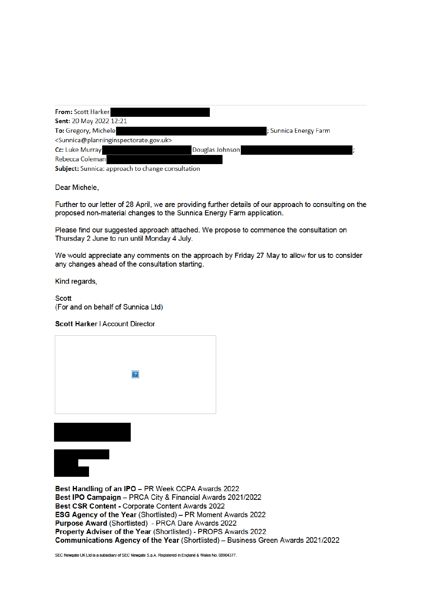| From: Scott Harker                                                          |                       |
|-----------------------------------------------------------------------------|-----------------------|
| <b>Sent: 20 May 2022 12:21</b>                                              |                       |
| To: Gregory, Michele                                                        | ; Sunnica Energy Farm |
| <sunnica@planninginspectorate.gov.uk></sunnica@planninginspectorate.gov.uk> |                       |
| Cc: Luke Murray                                                             | Douglas Johnson       |
| Rebecca Coleman                                                             |                       |
| Subject: Sunnica: approach to change consultation                           |                       |

Dear Michele,

Further to our letter of 28 April, we are providing further details of our approach to consulting on the proposed non-material changes to the Sunnica Energy Farm application.

Please find our suggested approach attached. We propose to commence the consultation on Thursday 2 June to run until Monday 4 July.

We would appreciate any comments on the approach by Friday 27 May to allow for us to consider any changes ahead of the consultation starting.

Kind regards,

**Scott** (For and on behalf of Sunnica Ltd)

#### Scott Harker | Account Director





Best Handling of an IPO - PR Week CCPA Awards 2022 Best IPO Campaign - PRCA City & Financial Awards 2021/2022 Best CSR Content - Corporate Content Awards 2022 ESG Agency of the Year (Shortlisted) - PR Moment Awards 2022 Purpose Award (Shortlisted) - PRCA Dare Awards 2022 Property Adviser of the Year (Shortlisted) - PROPS Awards 2022 Communications Agency of the Year (Shortlisted) - Business Green Awards 2021/2022

SEC Newgate UK Ltd is a subsidiary of SEC Newgate S.p.A. Registered in England & Wales No. 08964377.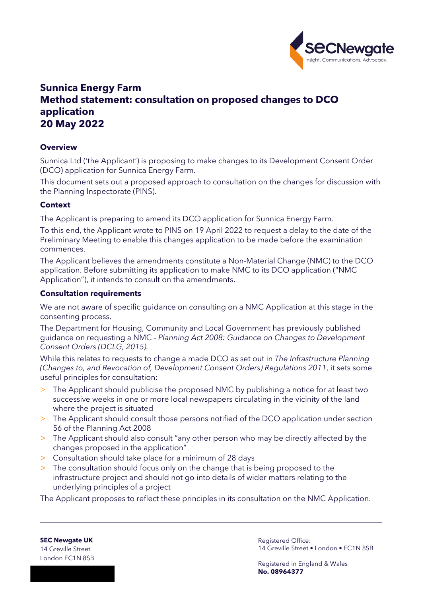

# **Sunnica Energy Farm Method statement: consultation on proposed changes to DCO application 20 May 2022**

### **Overview**

Sunnica Ltd ('the Applicant') is proposing to make changes to its Development Consent Order (DCO) application for Sunnica Energy Farm.

This document sets out a proposed approach to consultation on the changes for discussion with the Planning Inspectorate (PINS).

#### **Context**

The Applicant is preparing to amend its DCO application for Sunnica Energy Farm.

To this end, the Applicant wrote to PINS on 19 April 2022 to request a delay to the date of the Preliminary Meeting to enable this changes application to be made before the examination commences.

The Applicant believes the amendments constitute a Non-Material Change (NMC) to the DCO application. Before submitting its application to make NMC to its DCO application ("NMC Application"), it intends to consult on the amendments.

#### **Consultation requirements**

We are not aware of specific guidance on consulting on a NMC Application at this stage in the consenting process.

The Department for Housing, Community and Local Government has previously published guidance on requesting a NMC - *Planning Act 2008: Guidance on Changes to Development Consent Orders (DCLG, 2015).*

While this relates to requests to change a made DCO as set out in *The Infrastructure Planning (Changes to, and Revocation of, Development Consent Orders) Regulations 2011*, it sets some useful principles for consultation:

- > The Applicant should publicise the proposed NMC by publishing a notice for at least two successive weeks in one or more local newspapers circulating in the vicinity of the land where the project is situated
- > The Applicant should consult those persons notified of the DCO application under section 56 of the Planning Act 2008
- > The Applicant should also consult "any other person who may be directly affected by the changes proposed in the application"
- > Consultation should take place for a minimum of 28 days
- > The consultation should focus only on the change that is being proposed to the infrastructure project and should not go into details of wider matters relating to the underlying principles of a project

The Applicant proposes to reflect these principles in its consultation on the NMC Application.

**SEC Newgate UK** 14 Greville Street London EC1N 8SB Registered Office: 14 Greville Street • London • EC1N 8SB

Registered in England & Wales **No. 08964377**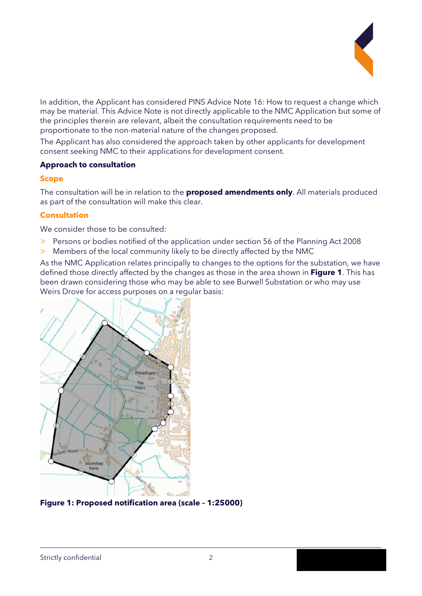

In addition, the Applicant has considered PINS Advice Note 16: How to request a change which may be material. This Advice Note is not directly applicable to the NMC Application but some of the principles therein are relevant, albeit the consultation requirements need to be proportionate to the non-material nature of the changes proposed.

The Applicant has also considered the approach taken by other applicants for development consent seeking NMC to their applications for development consent.

## **Approach to consultation**

## **Scope**

The consultation will be in relation to the **proposed amendments only**. All materials produced as part of the consultation will make this clear.

# **Consultation**

We consider those to be consulted:

- > Persons or bodies notified of the application under section 56 of the Planning Act 2008
- > Members of the local community likely to be directly affected by the NMC

As the NMC Application relates principally to changes to the options for the substation, we have defined those directly affected by the changes as those in the area shown in **Figure 1**. This has been drawn considering those who may be able to see Burwell Substation or who may use Weirs Drove for access purposes on a regular basis:



**Figure 1: Proposed notification area (scale – 1:25000)**